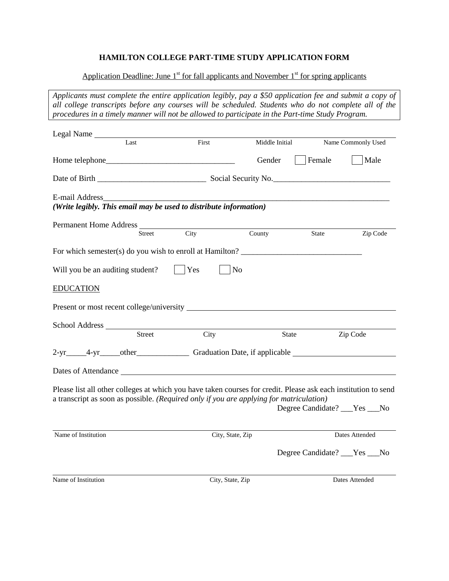## **HAMILTON COLLEGE PART-TIME STUDY APPLICATION FORM**

## Application Deadline: June  $1<sup>st</sup>$  for fall applicants and November  $1<sup>st</sup>$  for spring applicants

*Applicants must complete the entire application legibly, pay a \$50 application fee and submit a copy of all college transcripts before any courses will be scheduled. Students who do not complete all of the procedures in a timely manner will not be allowed to participate in the Part-time Study Program.*

| Legal Name                                                                                                                                                                                                |                                     |                |                                |                    |  |
|-----------------------------------------------------------------------------------------------------------------------------------------------------------------------------------------------------------|-------------------------------------|----------------|--------------------------------|--------------------|--|
| Last                                                                                                                                                                                                      | First                               | Middle Initial |                                | Name Commonly Used |  |
|                                                                                                                                                                                                           |                                     | Gender         | Female                         | Male               |  |
|                                                                                                                                                                                                           |                                     |                |                                |                    |  |
| E-mail Address<br>(Write legibly. This email may be used to distribute information)                                                                                                                       |                                     |                |                                |                    |  |
| Street                                                                                                                                                                                                    | City                                | County         | State                          | Zip Code           |  |
| For which semester(s) do you wish to enroll at Hamilton?                                                                                                                                                  |                                     |                |                                |                    |  |
| Will you be an auditing student?                                                                                                                                                                          | Yes                                 | N <sub>o</sub> |                                |                    |  |
| <b>EDUCATION</b>                                                                                                                                                                                          |                                     |                |                                |                    |  |
|                                                                                                                                                                                                           |                                     |                |                                |                    |  |
| School Address<br>Street                                                                                                                                                                                  | $\overline{\overline{\text{City}}}$ |                | State                          | Zip Code           |  |
| 2-yr_____4-yr_____other________________Graduation Date, if applicable ______________________________                                                                                                      |                                     |                |                                |                    |  |
| Dates of Attendance                                                                                                                                                                                       |                                     |                |                                |                    |  |
| Please list all other colleges at which you have taken courses for credit. Please ask each institution to send<br>a transcript as soon as possible. (Required only if you are applying for matriculation) |                                     |                | Degree Candidate? ___Yes ___No |                    |  |
| Name of Institution                                                                                                                                                                                       | City, State, Zip                    |                |                                | Dates Attended     |  |
|                                                                                                                                                                                                           |                                     |                | Degree Candidate? ___Yes ___No |                    |  |
| Name of Institution                                                                                                                                                                                       | City, State, Zip                    |                |                                | Dates Attended     |  |